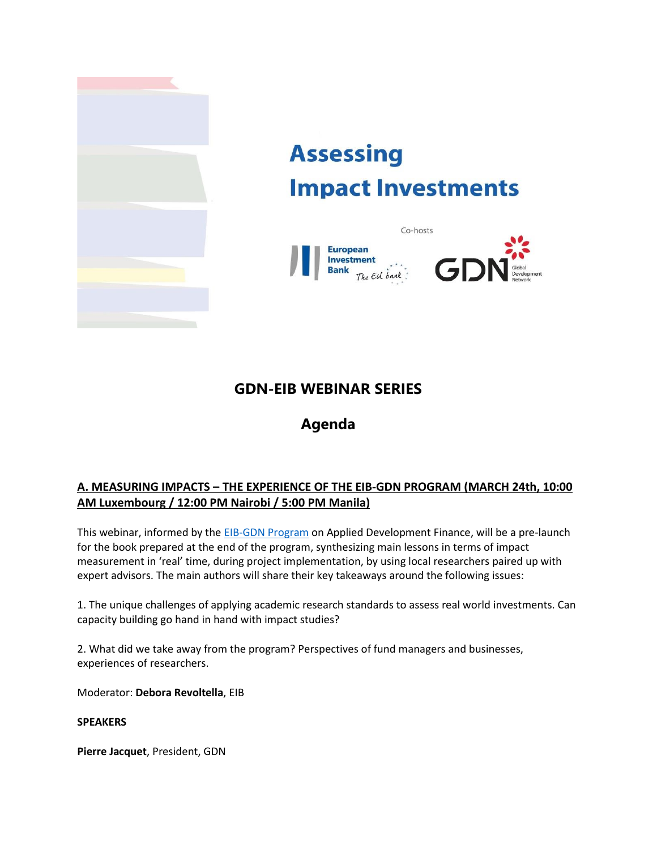

# **Assessing Impact Investments**



## **GDN-EIB WEBINAR SERIES**

# **Agenda**

## **A. MEASURING IMPACTS – THE EXPERIENCE OF THE EIB-GDN PROGRAM (MARCH 24th, 10:00 AM Luxembourg / 12:00 PM Nairobi / 5:00 PM Manila)**

This webinar, informed by th[e EIB-GDN Program](http://www.gdn.int/applied-development-finance) on Applied Development Finance, will be a pre-launch for the book prepared at the end of the program, synthesizing main lessons in terms of impact measurement in 'real' time, during project implementation, by using local researchers paired up with expert advisors. The main authors will share their key takeaways around the following issues:

1. The unique challenges of applying academic research standards to assess real world investments. Can capacity building go hand in hand with impact studies?

2. What did we take away from the program? Perspectives of fund managers and businesses, experiences of researchers.

Moderator: **Debora Revoltella**, EIB

#### **SPEAKERS**

**Pierre Jacquet**, President, GDN